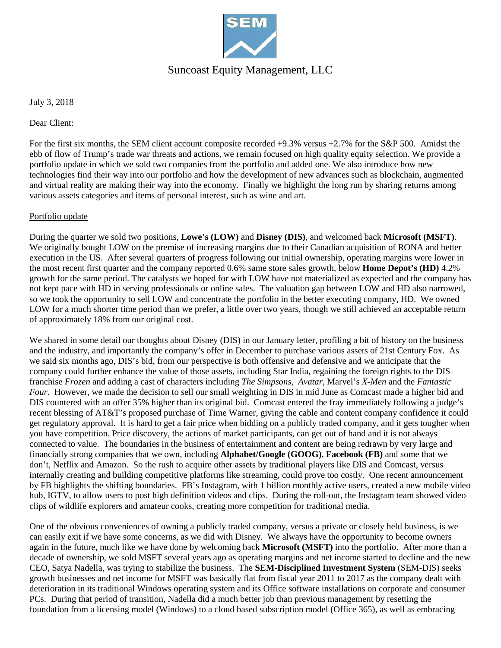

## Suncoast Equity Management, LLC

July 3, 2018

Dear Client:

For the first six months, the SEM client account composite recorded +9.3% versus +2.7% for the S&P 500. Amidst the ebb of flow of Trump's trade war threats and actions, we remain focused on high quality equity selection. We provide a portfolio update in which we sold two companies from the portfolio and added one. We also introduce how new technologies find their way into our portfolio and how the development of new advances such as blockchain, augmented and virtual reality are making their way into the economy. Finally we highlight the long run by sharing returns among various assets categories and items of personal interest, such as wine and art.

#### Portfolio update

During the quarter we sold two positions, **Lowe's (LOW)** and **Disney (DIS)**, and welcomed back **Microsoft (MSFT)**. We originally bought LOW on the premise of increasing margins due to their Canadian acquisition of RONA and better execution in the US. After several quarters of progress following our initial ownership, operating margins were lower in the most recent first quarter and the company reported 0.6% same store sales growth, below **Home Depot's (HD)** 4.2% growth for the same period. The catalysts we hoped for with LOW have not materialized as expected and the company has not kept pace with HD in serving professionals or online sales. The valuation gap between LOW and HD also narrowed, so we took the opportunity to sell LOW and concentrate the portfolio in the better executing company, HD. We owned LOW for a much shorter time period than we prefer, a little over two years, though we still achieved an acceptable return of approximately 18% from our original cost.

We shared in some detail our thoughts about Disney (DIS) in our January letter, profiling a bit of history on the business and the industry, and importantly the company's offer in December to purchase various assets of 21st Century Fox. As we said six months ago, DIS's bid, from our perspective is both offensive and defensive and we anticipate that the company could further enhance the value of those assets, including Star India, regaining the foreign rights to the DIS franchise *Frozen* and adding a cast of characters including *The Simpsons*, *Avatar*, Marvel's *X-Men* and the *Fantastic Four*. However, we made the decision to sell our small weighting in DIS in mid June as Comcast made a higher bid and DIS countered with an offer 35% higher than its original bid. Comcast entered the fray immediately following a judge's recent blessing of AT&T's proposed purchase of Time Warner, giving the cable and content company confidence it could get regulatory approval. It is hard to get a fair price when bidding on a publicly traded company, and it gets tougher when you have competition. Price discovery, the actions of market participants, can get out of hand and it is not always connected to value. The boundaries in the business of entertainment and content are being redrawn by very large and financially strong companies that we own, including **Alphabet/Google (GOOG)**, **Facebook (FB)** and some that we don't, Netflix and Amazon. So the rush to acquire other assets by traditional players like DIS and Comcast, versus internally creating and building competitive platforms like streaming, could prove too costly. One recent announcement by FB highlights the shifting boundaries. FB's Instagram, with 1 billion monthly active users, created a new mobile video hub, IGTV, to allow users to post high definition videos and clips. During the roll-out, the Instagram team showed video clips of wildlife explorers and amateur cooks, creating more competition for traditional media.

One of the obvious conveniences of owning a publicly traded company, versus a private or closely held business, is we can easily exit if we have some concerns, as we did with Disney. We always have the opportunity to become owners again in the future, much like we have done by welcoming back **Microsoft (MSFT)** into the portfolio. After more than a decade of ownership, we sold MSFT several years ago as operating margins and net income started to decline and the new CEO, Satya Nadella, was trying to stabilize the business. The **SEM-Disciplined Investment System** (SEM-DIS) seeks growth businesses and net income for MSFT was basically flat from fiscal year 2011 to 2017 as the company dealt with deterioration in its traditional Windows operating system and its Office software installations on corporate and consumer PCs. During that period of transition, Nadella did a much better job than previous management by resetting the foundation from a licensing model (Windows) to a cloud based subscription model (Office 365), as well as embracing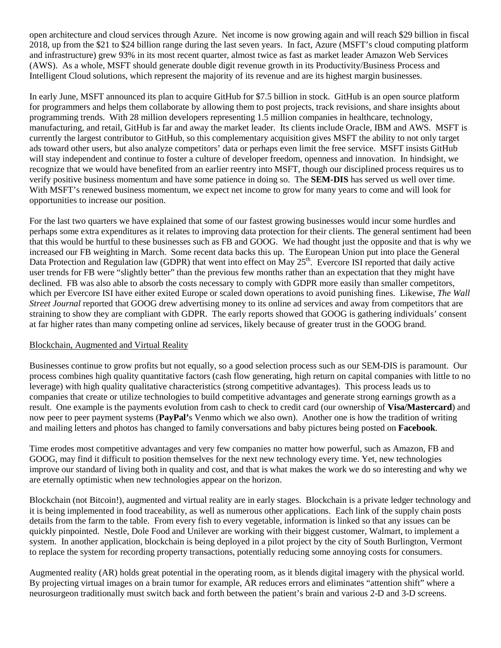open architecture and cloud services through Azure. Net income is now growing again and will reach \$29 billion in fiscal 2018, up from the \$21 to \$24 billion range during the last seven years. In fact, Azure (MSFT's cloud computing platform and infrastructure) grew 93% in its most recent quarter, almost twice as fast as market leader Amazon Web Services (AWS). As a whole, MSFT should generate double digit revenue growth in its Productivity/Business Process and Intelligent Cloud solutions, which represent the majority of its revenue and are its highest margin businesses.

In early June, MSFT announced its plan to acquire GitHub for \$7.5 billion in stock. GitHub is an open source platform for programmers and helps them collaborate by allowing them to post projects, track revisions, and share insights about programming trends. With 28 million developers representing 1.5 million companies in healthcare, technology, manufacturing, and retail, GitHub is far and away the market leader. Its clients include Oracle, IBM and AWS. MSFT is currently the largest contributor to GitHub, so this complementary acquisition gives MSFT the ability to not only target ads toward other users, but also analyze competitors' data or perhaps even limit the free service. MSFT insists GitHub will stay independent and continue to foster a culture of developer freedom, openness and innovation. In hindsight, we recognize that we would have benefited from an earlier reentry into MSFT, though our disciplined process requires us to verify positive business momentum and have some patience in doing so. The **SEM-DIS** has served us well over time. With MSFT's renewed business momentum, we expect net income to grow for many years to come and will look for opportunities to increase our position.

For the last two quarters we have explained that some of our fastest growing businesses would incur some hurdles and perhaps some extra expenditures as it relates to improving data protection for their clients. The general sentiment had been that this would be hurtful to these businesses such as FB and GOOG. We had thought just the opposite and that is why we increased our FB weighting in March. Some recent data backs this up. The European Union put into place the General Data Protection and Regulation law (GDPR) that went into effect on May  $25<sup>th</sup>$ . Evercore ISI reported that daily active user trends for FB were "slightly better" than the previous few months rather than an expectation that they might have declined. FB was also able to absorb the costs necessary to comply with GDPR more easily than smaller competitors, which per Evercore ISI have either exited Europe or scaled down operations to avoid punishing fines. Likewise, *The Wall Street Journal* reported that GOOG drew advertising money to its online ad services and away from competitors that are straining to show they are compliant with GDPR. The early reports showed that GOOG is gathering individuals' consent at far higher rates than many competing online ad services, likely because of greater trust in the GOOG brand.

#### Blockchain, Augmented and Virtual Reality

Businesses continue to grow profits but not equally, so a good selection process such as our SEM-DIS is paramount. Our process combines high quality quantitative factors (cash flow generating, high return on capital companies with little to no leverage) with high quality qualitative characteristics (strong competitive advantages). This process leads us to companies that create or utilize technologies to build competitive advantages and generate strong earnings growth as a result. One example is the payments evolution from cash to check to credit card (our ownership of **Visa/Mastercard**) and now peer to peer payment systems (**PayPal'**s Venmo which we also own). Another one is how the tradition of writing and mailing letters and photos has changed to family conversations and baby pictures being posted on **Facebook**.

Time erodes most competitive advantages and very few companies no matter how powerful, such as Amazon, FB and GOOG, may find it difficult to position themselves for the next new technology every time. Yet, new technologies improve our standard of living both in quality and cost, and that is what makes the work we do so interesting and why we are eternally optimistic when new technologies appear on the horizon.

Blockchain (not Bitcoin!), augmented and virtual reality are in early stages. Blockchain is a private ledger technology and it is being implemented in food traceability, as well as numerous other applications. Each link of the supply chain posts details from the farm to the table. From every fish to every vegetable, information is linked so that any issues can be quickly pinpointed. Nestle, Dole Food and Unilever are working with their biggest customer, Walmart, to implement a system. In another application, blockchain is being deployed in a pilot project by the city of South Burlington, Vermont to replace the system for recording property transactions, potentially reducing some annoying costs for consumers.

Augmented reality (AR) holds great potential in the operating room, as it blends digital imagery with the physical world. By projecting virtual images on a brain tumor for example, AR reduces errors and eliminates "attention shift" where a neurosurgeon traditionally must switch back and forth between the patient's brain and various 2-D and 3-D screens.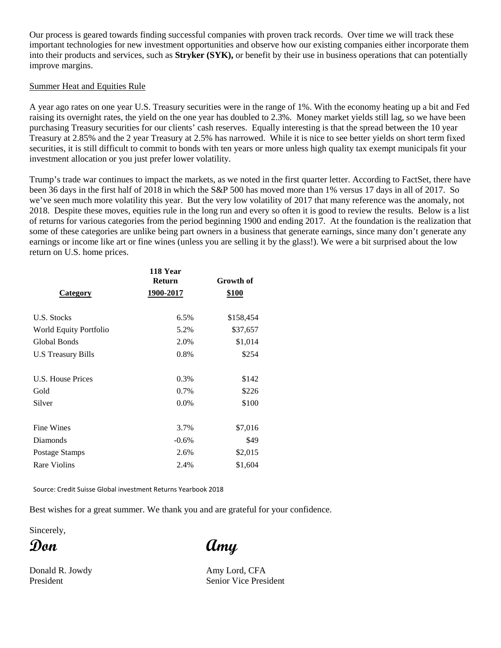Our process is geared towards finding successful companies with proven track records. Over time we will track these important technologies for new investment opportunities and observe how our existing companies either incorporate them into their products and services, such as **Stryker (SYK),** or benefit by their use in business operations that can potentially improve margins.

### Summer Heat and Equities Rule

A year ago rates on one year U.S. Treasury securities were in the range of 1%. With the economy heating up a bit and Fed raising its overnight rates, the yield on the one year has doubled to 2.3%. Money market yields still lag, so we have been purchasing Treasury securities for our clients' cash reserves. Equally interesting is that the spread between the 10 year Treasury at 2.85% and the 2 year Treasury at 2.5% has narrowed. While it is nice to see better yields on short term fixed securities, it is still difficult to commit to bonds with ten years or more unless high quality tax exempt municipals fit your investment allocation or you just prefer lower volatility.

Trump's trade war continues to impact the markets, as we noted in the first quarter letter. According to FactSet, there have been 36 days in the first half of 2018 in which the S&P 500 has moved more than 1% versus 17 days in all of 2017. So we've seen much more volatility this year. But the very low volatility of 2017 that many reference was the anomaly, not 2018. Despite these moves, equities rule in the long run and every so often it is good to review the results. Below is a list of returns for various categories from the period beginning 1900 and ending 2017. At the foundation is the realization that some of these categories are unlike being part owners in a business that generate earnings, since many don't generate any earnings or income like art or fine wines (unless you are selling it by the glass!). We were a bit surprised about the low return on U.S. home prices.

|                        | 118 Year<br><b>Return</b> | Growth of<br>\$100 |  |
|------------------------|---------------------------|--------------------|--|
| Category               | 1900-2017                 |                    |  |
| U.S. Stocks            | 6.5%                      | \$158,454          |  |
| World Equity Portfolio | 5.2%                      | \$37,657           |  |
| Global Bonds           | 2.0%                      | \$1,014            |  |
| U.S Treasury Bills     | 0.8%                      | \$254              |  |
| U.S. House Prices      | 0.3%                      | \$142              |  |
| Gold                   | 0.7%                      | \$226              |  |
| Silver                 | 0.0%                      | \$100              |  |
| <b>Fine Wines</b>      | 3.7%                      | \$7,016            |  |
| Diamonds               | $-0.6%$                   | \$49               |  |
| Postage Stamps         | 2.6%                      | \$2,015            |  |
| <b>Rare Violins</b>    | 2.4%                      | \$1,604            |  |

Source: Credit Suisse Global investment Returns Yearbook 2018

Best wishes for a great summer. We thank you and are grateful for your confidence.

Sincerely,

**Don Amy**

Donald R. Jowdy **Amy Lord, CFA** President Senior Vice President